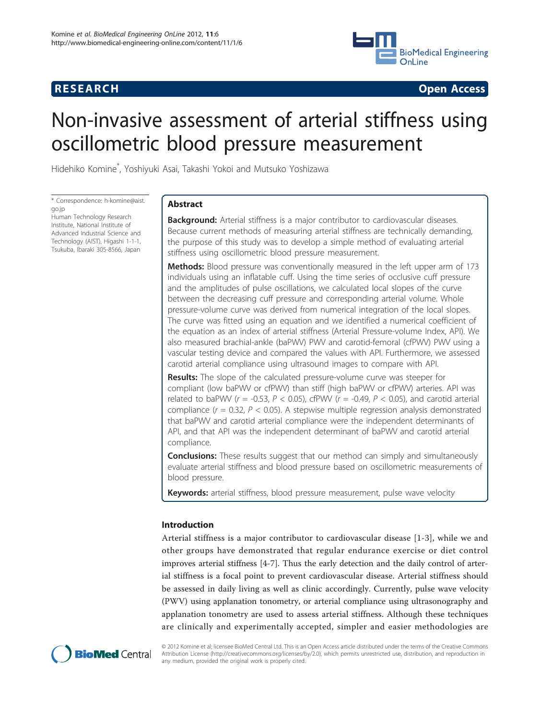

**RESEARCH CONSTRUCTION CONSTRUCTS** 

# Non-invasive assessment of arterial stiffness using oscillometric blood pressure measurement

Hidehiko Komine\* , Yoshiyuki Asai, Takashi Yokoi and Mutsuko Yoshizawa

\* Correspondence: [h-komine@aist.](mailto:h-komine@aist.go.jp) [go.jp](mailto:h-komine@aist.go.jp)

Human Technology Research Institute, National Institute of Advanced Industrial Science and Technology (AIST), Higashi 1-1-1, Tsukuba, Ibaraki 305-8566, Japan

# Abstract

**Background:** Arterial stiffness is a major contributor to cardiovascular diseases. Because current methods of measuring arterial stiffness are technically demanding, the purpose of this study was to develop a simple method of evaluating arterial stiffness using oscillometric blood pressure measurement.

**Methods:** Blood pressure was conventionally measured in the left upper arm of 173 individuals using an inflatable cuff. Using the time series of occlusive cuff pressure and the amplitudes of pulse oscillations, we calculated local slopes of the curve between the decreasing cuff pressure and corresponding arterial volume. Whole pressure-volume curve was derived from numerical integration of the local slopes. The curve was fitted using an equation and we identified a numerical coefficient of the equation as an index of arterial stiffness (Arterial Pressure-volume Index, API). We also measured brachial-ankle (baPWV) PWV and carotid-femoral (cfPWV) PWV using a vascular testing device and compared the values with API. Furthermore, we assessed carotid arterial compliance using ultrasound images to compare with API.

Results: The slope of the calculated pressure-volume curve was steeper for compliant (low baPWV or cfPWV) than stiff (high baPWV or cfPWV) arteries. API was related to baPWV ( $r = -0.53$ ,  $P < 0.05$ ), cfPWV ( $r = -0.49$ ,  $P < 0.05$ ), and carotid arterial compliance ( $r = 0.32$ ,  $P < 0.05$ ). A stepwise multiple regression analysis demonstrated that baPWV and carotid arterial compliance were the independent determinants of API, and that API was the independent determinant of baPWV and carotid arterial compliance.

**Conclusions:** These results suggest that our method can simply and simultaneously evaluate arterial stiffness and blood pressure based on oscillometric measurements of blood pressure.

Keywords: arterial stiffness, blood pressure measurement, pulse wave velocity

# Introduction

Arterial stiffness is a major contributor to cardiovascular disease [[1](#page-10-0)-[3\]](#page-10-0), while we and other groups have demonstrated that regular endurance exercise or diet control improves arterial stiffness [[4-7](#page-10-0)]. Thus the early detection and the daily control of arterial stiffness is a focal point to prevent cardiovascular disease. Arterial stiffness should be assessed in daily living as well as clinic accordingly. Currently, pulse wave velocity (PWV) using applanation tonometry, or arterial compliance using ultrasonography and applanation tonometry are used to assess arterial stiffness. Although these techniques are clinically and experimentally accepted, simpler and easier methodologies are



© 2012 Komine et al; licensee BioMed Central Ltd. This is an Open Access article distributed under the terms of the Creative Commons Attribution License [\(http://creativecommons.org/licenses/by/2.0](http://creativecommons.org/licenses/by/2.0)), which permits unrestricted use, distribution, and reproduction in any medium, provided the original work is properly cited.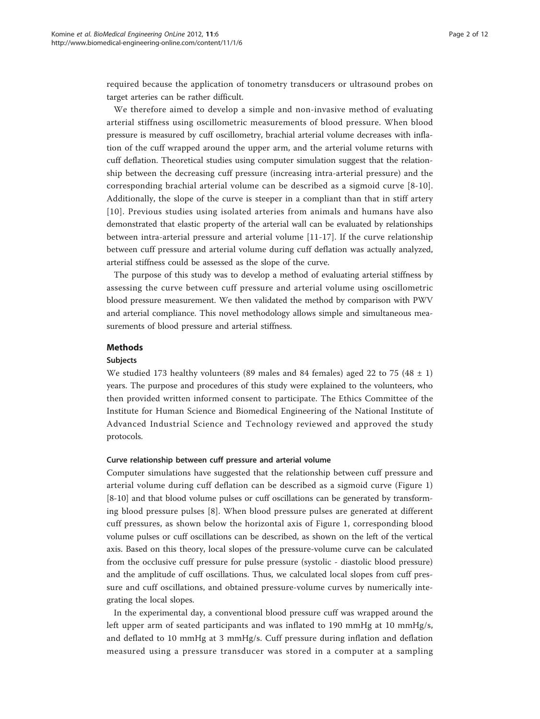required because the application of tonometry transducers or ultrasound probes on target arteries can be rather difficult.

We therefore aimed to develop a simple and non-invasive method of evaluating arterial stiffness using oscillometric measurements of blood pressure. When blood pressure is measured by cuff oscillometry, brachial arterial volume decreases with inflation of the cuff wrapped around the upper arm, and the arterial volume returns with cuff deflation. Theoretical studies using computer simulation suggest that the relationship between the decreasing cuff pressure (increasing intra-arterial pressure) and the corresponding brachial arterial volume can be described as a sigmoid curve [[8](#page-10-0)-[10](#page-10-0)]. Additionally, the slope of the curve is steeper in a compliant than that in stiff artery [[10\]](#page-10-0). Previous studies using isolated arteries from animals and humans have also demonstrated that elastic property of the arterial wall can be evaluated by relationships between intra-arterial pressure and arterial volume [[11-17\]](#page-10-0). If the curve relationship between cuff pressure and arterial volume during cuff deflation was actually analyzed, arterial stiffness could be assessed as the slope of the curve.

The purpose of this study was to develop a method of evaluating arterial stiffness by assessing the curve between cuff pressure and arterial volume using oscillometric blood pressure measurement. We then validated the method by comparison with PWV and arterial compliance. This novel methodology allows simple and simultaneous measurements of blood pressure and arterial stiffness.

#### Methods

#### Subjects

We studied 173 healthy volunteers (89 males and 84 females) aged 22 to 75 (48  $\pm$  1) years. The purpose and procedures of this study were explained to the volunteers, who then provided written informed consent to participate. The Ethics Committee of the Institute for Human Science and Biomedical Engineering of the National Institute of Advanced Industrial Science and Technology reviewed and approved the study protocols.

#### Curve relationship between cuff pressure and arterial volume

Computer simulations have suggested that the relationship between cuff pressure and arterial volume during cuff deflation can be described as a sigmoid curve (Figure [1](#page-2-0)) [[8-10\]](#page-10-0) and that blood volume pulses or cuff oscillations can be generated by transforming blood pressure pulses [\[8](#page-10-0)]. When blood pressure pulses are generated at different cuff pressures, as shown below the horizontal axis of Figure [1,](#page-2-0) corresponding blood volume pulses or cuff oscillations can be described, as shown on the left of the vertical axis. Based on this theory, local slopes of the pressure-volume curve can be calculated from the occlusive cuff pressure for pulse pressure (systolic - diastolic blood pressure) and the amplitude of cuff oscillations. Thus, we calculated local slopes from cuff pressure and cuff oscillations, and obtained pressure-volume curves by numerically integrating the local slopes.

In the experimental day, a conventional blood pressure cuff was wrapped around the left upper arm of seated participants and was inflated to 190 mmHg at 10 mmHg/s, and deflated to 10 mmHg at 3 mmHg/s. Cuff pressure during inflation and deflation measured using a pressure transducer was stored in a computer at a sampling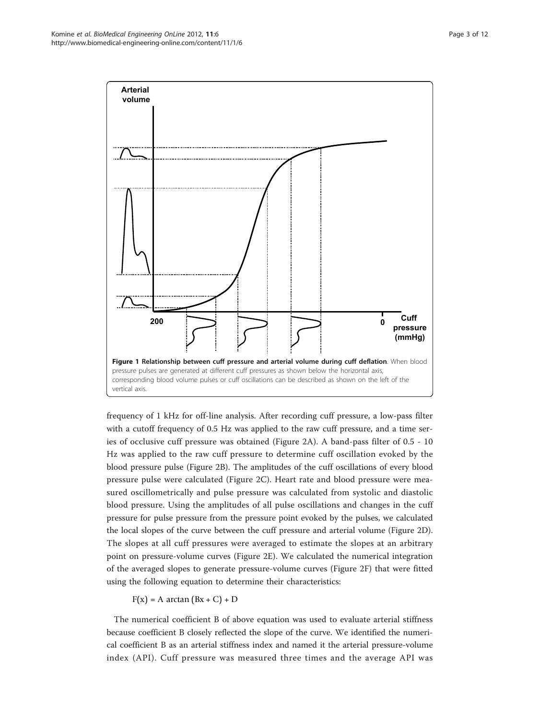<span id="page-2-0"></span>

frequency of 1 kHz for off-line analysis. After recording cuff pressure, a low-pass filter with a cutoff frequency of 0.5 Hz was applied to the raw cuff pressure, and a time series of occlusive cuff pressure was obtained (Figure [2A\)](#page-3-0). A band-pass filter of 0.5 - 10 Hz was applied to the raw cuff pressure to determine cuff oscillation evoked by the blood pressure pulse (Figure [2B](#page-3-0)). The amplitudes of the cuff oscillations of every blood pressure pulse were calculated (Figure [2C](#page-3-0)). Heart rate and blood pressure were measured oscillometrically and pulse pressure was calculated from systolic and diastolic blood pressure. Using the amplitudes of all pulse oscillations and changes in the cuff pressure for pulse pressure from the pressure point evoked by the pulses, we calculated the local slopes of the curve between the cuff pressure and arterial volume (Figure [2D](#page-3-0)). The slopes at all cuff pressures were averaged to estimate the slopes at an arbitrary point on pressure-volume curves (Figure [2E\)](#page-3-0). We calculated the numerical integration of the averaged slopes to generate pressure-volume curves (Figure [2F](#page-3-0)) that were fitted using the following equation to determine their characteristics:

# $F(x) = A \arctan (Bx + C) + D$

The numerical coefficient B of above equation was used to evaluate arterial stiffness because coefficient B closely reflected the slope of the curve. We identified the numerical coefficient B as an arterial stiffness index and named it the arterial pressure-volume index (API). Cuff pressure was measured three times and the average API was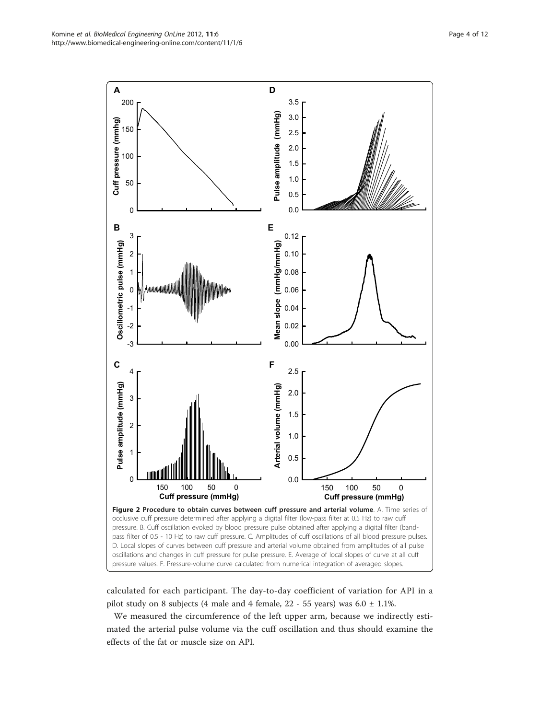<span id="page-3-0"></span>

calculated for each participant. The day-to-day coefficient of variation for API in a pilot study on 8 subjects (4 male and 4 female,  $22 - 55$  years) was  $6.0 \pm 1.1$ %.

We measured the circumference of the left upper arm, because we indirectly estimated the arterial pulse volume via the cuff oscillation and thus should examine the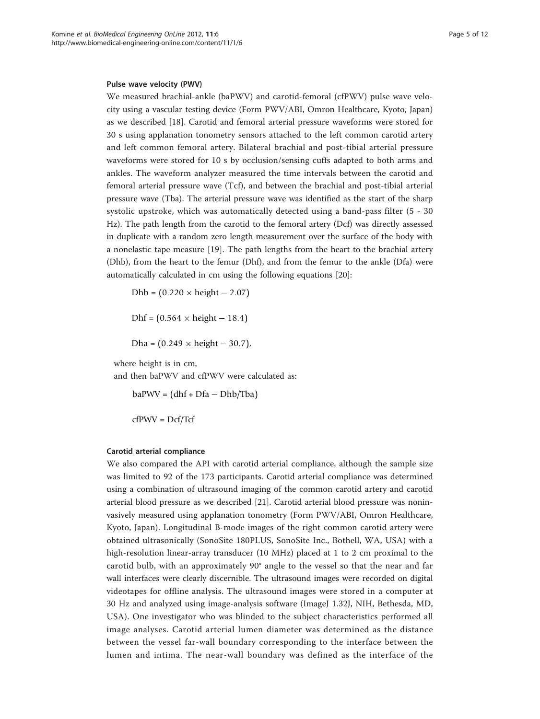#### Pulse wave velocity (PWV)

We measured brachial-ankle (baPWV) and carotid-femoral (cfPWV) pulse wave velocity using a vascular testing device (Form PWV/ABI, Omron Healthcare, Kyoto, Japan) as we described [[18\]](#page-10-0). Carotid and femoral arterial pressure waveforms were stored for 30 s using applanation tonometry sensors attached to the left common carotid artery and left common femoral artery. Bilateral brachial and post-tibial arterial pressure waveforms were stored for 10 s by occlusion/sensing cuffs adapted to both arms and ankles. The waveform analyzer measured the time intervals between the carotid and femoral arterial pressure wave (Tcf), and between the brachial and post-tibial arterial pressure wave (Tba). The arterial pressure wave was identified as the start of the sharp systolic upstroke, which was automatically detected using a band-pass filter (5 - 30 Hz). The path length from the carotid to the femoral artery (Dcf) was directly assessed in duplicate with a random zero length measurement over the surface of the body with a nonelastic tape measure [\[19](#page-10-0)]. The path lengths from the heart to the brachial artery (Dhb), from the heart to the femur (Dhf), and from the femur to the ankle (Dfa) were automatically calculated in cm using the following equations [\[20](#page-10-0)]:

Dhb =  $(0.220 \times \text{height} - 2.07)$  $Dhf = (0.564 \times height - 18.4)$ Dha =  $(0.249 \times \text{height} - 30.7)$ ,

where height is in cm,

and then baPWV and cfPWV were calculated as:

 $baPWV = (dhf + Dfa - Dhb/Tba)$ 

 $cfPWV = Dcf/Tcf$ 

#### Carotid arterial compliance

We also compared the API with carotid arterial compliance, although the sample size was limited to 92 of the 173 participants. Carotid arterial compliance was determined using a combination of ultrasound imaging of the common carotid artery and carotid arterial blood pressure as we described [\[21\]](#page-10-0). Carotid arterial blood pressure was noninvasively measured using applanation tonometry (Form PWV/ABI, Omron Healthcare, Kyoto, Japan). Longitudinal B-mode images of the right common carotid artery were obtained ultrasonically (SonoSite 180PLUS, SonoSite Inc., Bothell, WA, USA) with a high-resolution linear-array transducer (10 MHz) placed at 1 to 2 cm proximal to the carotid bulb, with an approximately 90° angle to the vessel so that the near and far wall interfaces were clearly discernible. The ultrasound images were recorded on digital videotapes for offline analysis. The ultrasound images were stored in a computer at 30 Hz and analyzed using image-analysis software (ImageJ 1.32J, NIH, Bethesda, MD, USA). One investigator who was blinded to the subject characteristics performed all image analyses. Carotid arterial lumen diameter was determined as the distance between the vessel far-wall boundary corresponding to the interface between the lumen and intima. The near-wall boundary was defined as the interface of the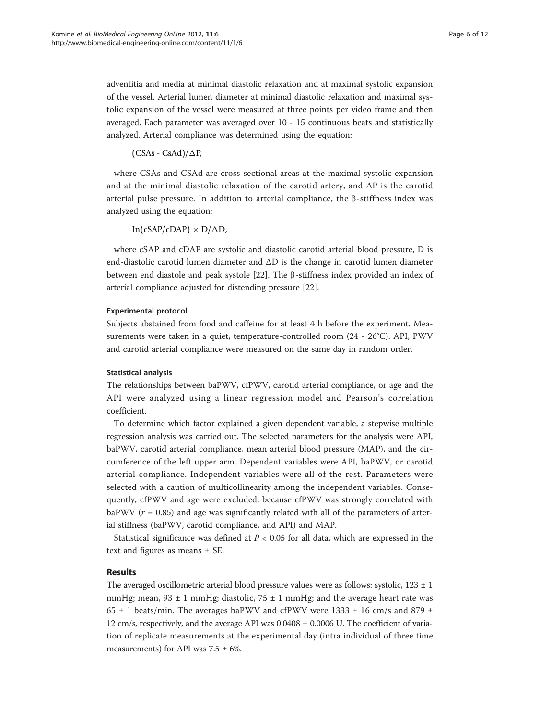adventitia and media at minimal diastolic relaxation and at maximal systolic expansion of the vessel. Arterial lumen diameter at minimal diastolic relaxation and maximal systolic expansion of the vessel were measured at three points per video frame and then averaged. Each parameter was averaged over 10 - 15 continuous beats and statistically analyzed. Arterial compliance was determined using the equation:

# $(CSAs - CsAd)/\Delta P$

where CSAs and CSAd are cross-sectional areas at the maximal systolic expansion and at the minimal diastolic relaxation of the carotid artery, and  $\Delta P$  is the carotid arterial pulse pressure. In addition to arterial compliance, the  $\beta$ -stiffness index was analyzed using the equation:

 $\text{In}(\text{cSAP}/\text{cDAP}) \times \text{D}/\Delta\text{D}$ 

where cSAP and cDAP are systolic and diastolic carotid arterial blood pressure, D is end-diastolic carotid lumen diameter and ΔD is the change in carotid lumen diameter between end diastole and peak systole  $[22]$  $[22]$ . The  $\beta$ -stiffness index provided an index of arterial compliance adjusted for distending pressure [[22\]](#page-10-0).

# Experimental protocol

Subjects abstained from food and caffeine for at least 4 h before the experiment. Measurements were taken in a quiet, temperature-controlled room (24 - 26°C). API, PWV and carotid arterial compliance were measured on the same day in random order.

#### Statistical analysis

The relationships between baPWV, cfPWV, carotid arterial compliance, or age and the API were analyzed using a linear regression model and Pearson's correlation coefficient.

To determine which factor explained a given dependent variable, a stepwise multiple regression analysis was carried out. The selected parameters for the analysis were API, baPWV, carotid arterial compliance, mean arterial blood pressure (MAP), and the circumference of the left upper arm. Dependent variables were API, baPWV, or carotid arterial compliance. Independent variables were all of the rest. Parameters were selected with a caution of multicollinearity among the independent variables. Consequently, cfPWV and age were excluded, because cfPWV was strongly correlated with baPWV ( $r = 0.85$ ) and age was significantly related with all of the parameters of arterial stiffness (baPWV, carotid compliance, and API) and MAP.

Statistical significance was defined at  $P < 0.05$  for all data, which are expressed in the text and figures as means ± SE.

# Results

The averaged oscillometric arterial blood pressure values were as follows: systolic,  $123 \pm 1$ mmHg; mean,  $93 \pm 1$  mmHg; diastolic,  $75 \pm 1$  mmHg; and the average heart rate was 65  $\pm$  1 beats/min. The averages baPWV and cfPWV were 1333  $\pm$  16 cm/s and 879  $\pm$ 12 cm/s, respectively, and the average API was 0.0408 ± 0.0006 U. The coefficient of variation of replicate measurements at the experimental day (intra individual of three time measurements) for API was  $7.5 \pm 6\%$ .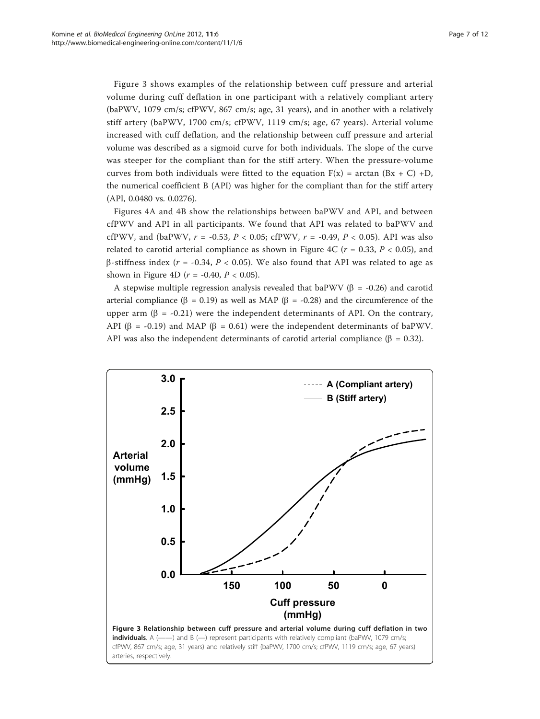Figure 3 shows examples of the relationship between cuff pressure and arterial volume during cuff deflation in one participant with a relatively compliant artery (baPWV, 1079 cm/s; cfPWV, 867 cm/s; age, 31 years), and in another with a relatively stiff artery (baPWV, 1700 cm/s; cfPWV, 1119 cm/s; age, 67 years). Arterial volume increased with cuff deflation, and the relationship between cuff pressure and arterial volume was described as a sigmoid curve for both individuals. The slope of the curve was steeper for the compliant than for the stiff artery. When the pressure-volume curves from both individuals were fitted to the equation  $F(x) = \arctan (Bx + C) + D$ , the numerical coefficient B (API) was higher for the compliant than for the stiff artery (API, 0.0480 vs. 0.0276).

Figures [4A](#page-7-0) and [4B](#page-7-0) show the relationships between baPWV and API, and between cfPWV and API in all participants. We found that API was related to baPWV and cfPWV, and (baPWV,  $r = -0.53$ ,  $P < 0.05$ ; cfPWV,  $r = -0.49$ ,  $P < 0.05$ ). API was also related to carotid arterial compliance as shown in Figure [4C](#page-7-0) ( $r = 0.33$ ,  $P < 0.05$ ), and  $\beta$ -stiffness index ( $r = -0.34$ ,  $P < 0.05$ ). We also found that API was related to age as shown in Figure [4D](#page-7-0) ( $r = -0.40$ ,  $P < 0.05$ ).

A stepwise multiple regression analysis revealed that baPWV ( $\beta$  = -0.26) and carotid arterial compliance ( $\beta$  = 0.19) as well as MAP ( $\beta$  = -0.28) and the circumference of the upper arm  $(\beta = -0.21)$  were the independent determinants of API. On the contrary, API ( $\beta$  = -0.19) and MAP ( $\beta$  = 0.61) were the independent determinants of baPWV. API was also the independent determinants of carotid arterial compliance ( $\beta = 0.32$ ).

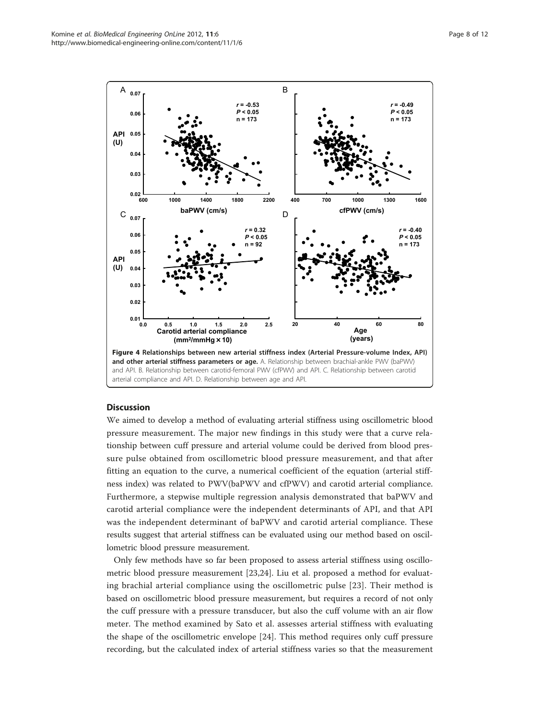<span id="page-7-0"></span>

# **Discussion**

We aimed to develop a method of evaluating arterial stiffness using oscillometric blood pressure measurement. The major new findings in this study were that a curve relationship between cuff pressure and arterial volume could be derived from blood pressure pulse obtained from oscillometric blood pressure measurement, and that after fitting an equation to the curve, a numerical coefficient of the equation (arterial stiffness index) was related to PWV(baPWV and cfPWV) and carotid arterial compliance. Furthermore, a stepwise multiple regression analysis demonstrated that baPWV and carotid arterial compliance were the independent determinants of API, and that API was the independent determinant of baPWV and carotid arterial compliance. These results suggest that arterial stiffness can be evaluated using our method based on oscillometric blood pressure measurement.

Only few methods have so far been proposed to assess arterial stiffness using oscillometric blood pressure measurement [[23](#page-10-0),[24\]](#page-10-0). Liu et al. proposed a method for evaluating brachial arterial compliance using the oscillometric pulse [[23\]](#page-10-0). Their method is based on oscillometric blood pressure measurement, but requires a record of not only the cuff pressure with a pressure transducer, but also the cuff volume with an air flow meter. The method examined by Sato et al. assesses arterial stiffness with evaluating the shape of the oscillometric envelope [\[24](#page-10-0)]. This method requires only cuff pressure recording, but the calculated index of arterial stiffness varies so that the measurement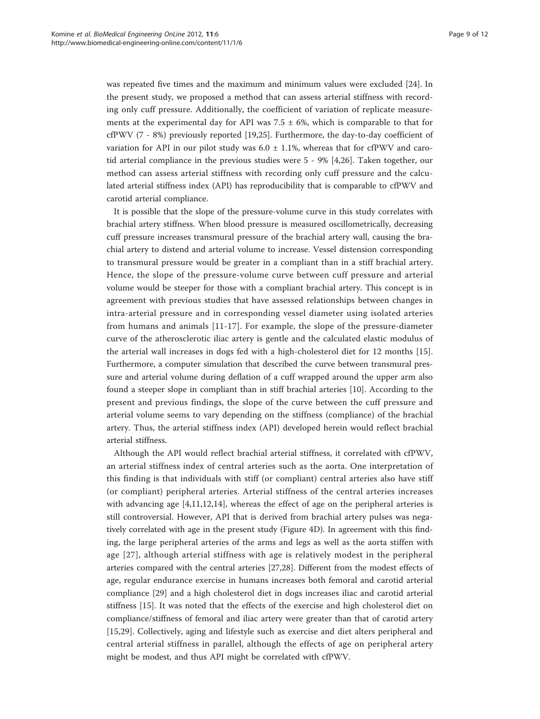was repeated five times and the maximum and minimum values were excluded [[24](#page-10-0)]. In the present study, we proposed a method that can assess arterial stiffness with recording only cuff pressure. Additionally, the coefficient of variation of replicate measurements at the experimental day for API was  $7.5 \pm 6$ %, which is comparable to that for cfPWV (7 - 8%) previously reported [\[19,25\]](#page-10-0). Furthermore, the day-to-day coefficient of variation for API in our pilot study was  $6.0 \pm 1.1\%$ , whereas that for cfPWV and carotid arterial compliance in the previous studies were 5 - 9% [[4,26\]](#page-10-0). Taken together, our method can assess arterial stiffness with recording only cuff pressure and the calculated arterial stiffness index (API) has reproducibility that is comparable to cfPWV and carotid arterial compliance.

It is possible that the slope of the pressure-volume curve in this study correlates with brachial artery stiffness. When blood pressure is measured oscillometrically, decreasing cuff pressure increases transmural pressure of the brachial artery wall, causing the brachial artery to distend and arterial volume to increase. Vessel distension corresponding to transmural pressure would be greater in a compliant than in a stiff brachial artery. Hence, the slope of the pressure-volume curve between cuff pressure and arterial volume would be steeper for those with a compliant brachial artery. This concept is in agreement with previous studies that have assessed relationships between changes in intra-arterial pressure and in corresponding vessel diameter using isolated arteries from humans and animals [\[11](#page-10-0)-[17](#page-10-0)]. For example, the slope of the pressure-diameter curve of the atherosclerotic iliac artery is gentle and the calculated elastic modulus of the arterial wall increases in dogs fed with a high-cholesterol diet for 12 months [\[15](#page-10-0)]. Furthermore, a computer simulation that described the curve between transmural pressure and arterial volume during deflation of a cuff wrapped around the upper arm also found a steeper slope in compliant than in stiff brachial arteries [[10\]](#page-10-0). According to the present and previous findings, the slope of the curve between the cuff pressure and arterial volume seems to vary depending on the stiffness (compliance) of the brachial artery. Thus, the arterial stiffness index (API) developed herein would reflect brachial arterial stiffness.

Although the API would reflect brachial arterial stiffness, it correlated with cfPWV, an arterial stiffness index of central arteries such as the aorta. One interpretation of this finding is that individuals with stiff (or compliant) central arteries also have stiff (or compliant) peripheral arteries. Arterial stiffness of the central arteries increases with advancing age [\[4,11](#page-10-0),[12](#page-10-0),[14\]](#page-10-0), whereas the effect of age on the peripheral arteries is still controversial. However, API that is derived from brachial artery pulses was negatively correlated with age in the present study (Figure [4D](#page-7-0)). In agreement with this finding, the large peripheral arteries of the arms and legs as well as the aorta stiffen with age [[27](#page-11-0)], although arterial stiffness with age is relatively modest in the peripheral arteries compared with the central arteries [[27,28\]](#page-11-0). Different from the modest effects of age, regular endurance exercise in humans increases both femoral and carotid arterial compliance [\[29](#page-11-0)] and a high cholesterol diet in dogs increases iliac and carotid arterial stiffness [\[15](#page-10-0)]. It was noted that the effects of the exercise and high cholesterol diet on compliance/stiffness of femoral and iliac artery were greater than that of carotid artery [[15,](#page-10-0)[29\]](#page-11-0). Collectively, aging and lifestyle such as exercise and diet alters peripheral and central arterial stiffness in parallel, although the effects of age on peripheral artery might be modest, and thus API might be correlated with cfPWV.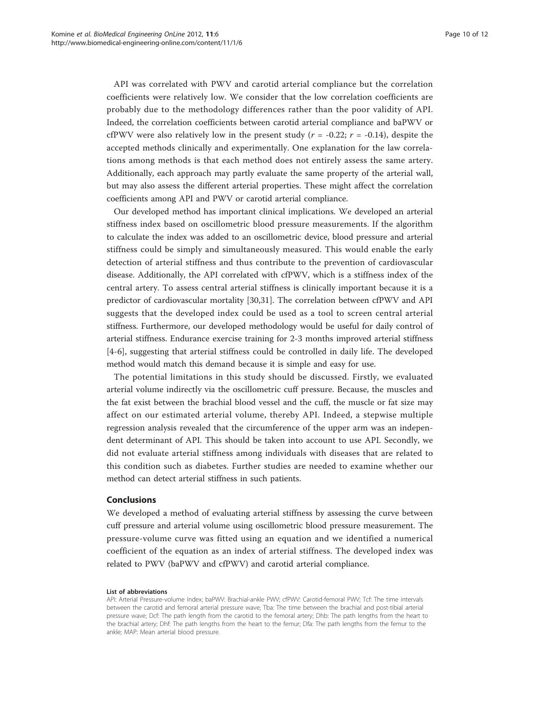API was correlated with PWV and carotid arterial compliance but the correlation coefficients were relatively low. We consider that the low correlation coefficients are probably due to the methodology differences rather than the poor validity of API. Indeed, the correlation coefficients between carotid arterial compliance and baPWV or cfPWV were also relatively low in the present study ( $r = -0.22$ ;  $r = -0.14$ ), despite the accepted methods clinically and experimentally. One explanation for the law correlations among methods is that each method does not entirely assess the same artery. Additionally, each approach may partly evaluate the same property of the arterial wall, but may also assess the different arterial properties. These might affect the correlation coefficients among API and PWV or carotid arterial compliance.

Our developed method has important clinical implications. We developed an arterial stiffness index based on oscillometric blood pressure measurements. If the algorithm to calculate the index was added to an oscillometric device, blood pressure and arterial stiffness could be simply and simultaneously measured. This would enable the early detection of arterial stiffness and thus contribute to the prevention of cardiovascular disease. Additionally, the API correlated with cfPWV, which is a stiffness index of the central artery. To assess central arterial stiffness is clinically important because it is a predictor of cardiovascular mortality [[30](#page-11-0),[31](#page-11-0)]. The correlation between cfPWV and API suggests that the developed index could be used as a tool to screen central arterial stiffness. Furthermore, our developed methodology would be useful for daily control of arterial stiffness. Endurance exercise training for 2-3 months improved arterial stiffness [[4-6](#page-10-0)], suggesting that arterial stiffness could be controlled in daily life. The developed method would match this demand because it is simple and easy for use.

The potential limitations in this study should be discussed. Firstly, we evaluated arterial volume indirectly via the oscillometric cuff pressure. Because, the muscles and the fat exist between the brachial blood vessel and the cuff, the muscle or fat size may affect on our estimated arterial volume, thereby API. Indeed, a stepwise multiple regression analysis revealed that the circumference of the upper arm was an independent determinant of API. This should be taken into account to use API. Secondly, we did not evaluate arterial stiffness among individuals with diseases that are related to this condition such as diabetes. Further studies are needed to examine whether our method can detect arterial stiffness in such patients.

#### Conclusions

We developed a method of evaluating arterial stiffness by assessing the curve between cuff pressure and arterial volume using oscillometric blood pressure measurement. The pressure-volume curve was fitted using an equation and we identified a numerical coefficient of the equation as an index of arterial stiffness. The developed index was related to PWV (baPWV and cfPWV) and carotid arterial compliance.

#### List of abbreviations

API: Arterial Pressure-volume Index; baPWV: Brachial-ankle PWV; cfPWV: Carotid-femoral PWV; Tcf: The time intervals between the carotid and femoral arterial pressure wave; Tba: The time between the brachial and post-tibial arterial pressure wave; Dcf: The path length from the carotid to the femoral artery; Dhb: The path lengths from the heart to the brachial artery; Dhf: The path lengths from the heart to the femur; Dfa: The path lengths from the femur to the ankle; MAP: Mean arterial blood pressure.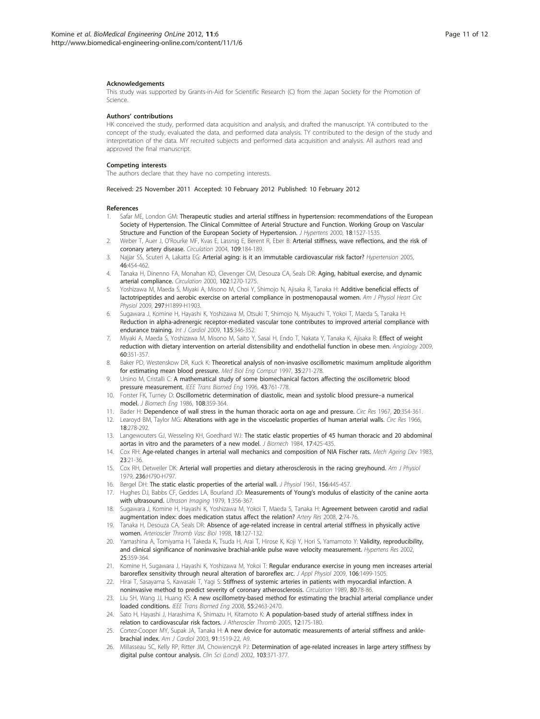#### <span id="page-10-0"></span>Acknowledgements

This study was supported by Grants-in-Aid for Scientific Research (C) from the Japan Society for the Promotion of Science.

#### Authors' contributions

HK conceived the study, performed data acquisition and analysis, and drafted the manuscript. YA contributed to the concept of the study, evaluated the data, and performed data analysis. TY contributed to the design of the study and interpretation of the data. MY recruited subjects and performed data acquisition and analysis. All authors read and approved the final manuscript.

#### Competing interests

The authors declare that they have no competing interests.

Received: 25 November 2011 Accepted: 10 February 2012 Published: 10 February 2012

#### References

- 1. Safar ME, London GM: [Therapeutic studies and arterial stiffness in hypertension: recommendations of the European](http://www.ncbi.nlm.nih.gov/pubmed/11081763?dopt=Abstract) [Society of Hypertension. The Clinical Committee of Arterial Structure and Function. Working Group on Vascular](http://www.ncbi.nlm.nih.gov/pubmed/11081763?dopt=Abstract) [Structure and Function of the European Society of Hypertension.](http://www.ncbi.nlm.nih.gov/pubmed/11081763?dopt=Abstract) J Hypertens 2000, 18:1527-1535.
- 2. Weber T, Auer J, O'Rourke MF, Kvas E, Lassnig E, Berent R, Eber B: [Arterial stiffness, wave reflections, and the risk of](http://www.ncbi.nlm.nih.gov/pubmed/14662706?dopt=Abstract) [coronary artery disease.](http://www.ncbi.nlm.nih.gov/pubmed/14662706?dopt=Abstract) Circulation 2004, 109:184-189.
- 3. Najjar SS, Scuteri A, Lakatta EG: [Arterial aging: is it an immutable cardiovascular risk factor?](http://www.ncbi.nlm.nih.gov/pubmed/16103272?dopt=Abstract) Hypertension 2005, 46:454-462.
- Tanaka H, Dinenno FA, Monahan KD, Clevenger CM, Desouza CA, Seals DR: [Aging, habitual exercise, and dynamic](http://www.ncbi.nlm.nih.gov/pubmed/10982542?dopt=Abstract) [arterial compliance.](http://www.ncbi.nlm.nih.gov/pubmed/10982542?dopt=Abstract) Circulation 2000, 102:1270-1275.
- 5. Yoshizawa M, Maeda S, Miyaki A, Misono M, Choi Y, Shimojo N, Ajisaka R, Tanaka H: [Additive beneficial effects of](http://www.ncbi.nlm.nih.gov/pubmed/19783777?dopt=Abstract) [lactotripeptides and aerobic exercise on arterial compliance in postmenopausal women.](http://www.ncbi.nlm.nih.gov/pubmed/19783777?dopt=Abstract) Am J Physiol Heart Circ Physiol 2009, 297:H1899-H1903.
- 6. Sugawara J, Komine H, Hayashi K, Yoshizawa M, Otsuki T, Shimojo N, Miyauchi T, Yokoi T, Maeda S, Tanaka H: [Reduction in alpha-adrenergic receptor-mediated vascular tone contributes to improved arterial compliance with](http://www.ncbi.nlm.nih.gov/pubmed/18603318?dopt=Abstract) [endurance training.](http://www.ncbi.nlm.nih.gov/pubmed/18603318?dopt=Abstract) Int J Cardiol 2009, 135:346-352.
- 7. Miyaki A, Maeda S, Yoshizawa M, Misono M, Saito Y, Sasai H, Endo T, Nakata Y, Tanaka K, Ajisaka R: [Effect of weight](http://www.ncbi.nlm.nih.gov/pubmed/19022788?dopt=Abstract) [reduction with dietary intervention on arterial distensibility and endothelial function in obese men.](http://www.ncbi.nlm.nih.gov/pubmed/19022788?dopt=Abstract) Angiology 2009, 60:351-357.
- 8. Baker PD, Westenskow DR, Kuck K: [Theoretical analysis of non-invasive oscillometric maximum amplitude algorithm](http://www.ncbi.nlm.nih.gov/pubmed/9246863?dopt=Abstract) [for estimating mean blood pressure.](http://www.ncbi.nlm.nih.gov/pubmed/9246863?dopt=Abstract) Med Biol Eng Comput 1997, 35:271-278.
- 9. Ursino M, Cristalli C: [A mathematical study of some biomechanical factors affecting the oscillometric blood](http://www.ncbi.nlm.nih.gov/pubmed/9216149?dopt=Abstract) [pressure measurement.](http://www.ncbi.nlm.nih.gov/pubmed/9216149?dopt=Abstract) IEEE Trans Biomed Eng 1996, 43:761-778.
- 10. Forster FK, Turney D: [Oscillometric determination of diastolic, mean and systolic blood pressure](http://www.ncbi.nlm.nih.gov/pubmed/3795883?dopt=Abstract)–a numerical [model.](http://www.ncbi.nlm.nih.gov/pubmed/3795883?dopt=Abstract) J Biomech Eng 1986, 108:359-364.
- 11. Bader H: [Dependence of wall stress in the human thoracic aorta on age and pressure.](http://www.ncbi.nlm.nih.gov/pubmed/6025615?dopt=Abstract) Circ Res 1967, 20:354-361.
- 12. Learoyd BM, Taylor MG: [Alterations with age in the viscoelastic properties of human arterial walls.](http://www.ncbi.nlm.nih.gov/pubmed/5904318?dopt=Abstract) Circ Res 1966, 18:278-292.
- 13. Langewouters GJ, Wesseling KH, Goedhard WJ: [The static elastic properties of 45 human thoracic and 20 abdominal](http://www.ncbi.nlm.nih.gov/pubmed/6480618?dopt=Abstract) [aortas in vitro and the parameters of a new model.](http://www.ncbi.nlm.nih.gov/pubmed/6480618?dopt=Abstract) J Biomech 1984, 17:425-435.
- 14. Cox RH: [Age-related changes in arterial wall mechanics and composition of NIA Fischer rats.](http://www.ncbi.nlm.nih.gov/pubmed/6656298?dopt=Abstract) Mech Ageing Dev 1983, 23:21-36.
- 15. Cox RH, Detweiler DK: [Arterial wall properties and dietary atherosclerosis in the racing greyhound.](http://www.ncbi.nlm.nih.gov/pubmed/443441?dopt=Abstract) Am J Physiol 1979, 236:H790-H797.
- 16. Bergel DH: [The static elastic properties of the arterial wall.](http://www.ncbi.nlm.nih.gov/pubmed/16992075?dopt=Abstract) J Physiol 1961, 156:445-457.
- 17. Hughes DJ, Babbs CF, Geddes LA, Bourland JD: Measurements of Young'[s modulus of elasticity of the canine aorta](http://www.ncbi.nlm.nih.gov/pubmed/575833?dopt=Abstract) [with ultrasound.](http://www.ncbi.nlm.nih.gov/pubmed/575833?dopt=Abstract) Ultrason Imaging 1979, 1:356-367.
- 18. Sugawara J, Komine H, Hayashi K, Yoshizawa M, Yokoi T, Maeda S, Tanaka H: Agreement between carotid and radial augmentation index: does medication status affect the relation? Artery Res 2008, 2:74-76.
- 19. Tanaka H, Desouza CA, Seals DR: [Absence of age-related increase in central arterial stiffness in physically active](http://www.ncbi.nlm.nih.gov/pubmed/9445266?dopt=Abstract) [women.](http://www.ncbi.nlm.nih.gov/pubmed/9445266?dopt=Abstract) Arterioscler Thromb Vasc Biol 1998, 18:127-132.
- 20. Yamashina A, Tomiyama H, Takeda K, Tsuda H, Arai T, Hirose K, Koji Y, Hori S, Yamamoto Y: [Validity, reproducibility,](http://www.ncbi.nlm.nih.gov/pubmed/12135313?dopt=Abstract) [and clinical significance of noninvasive brachial-ankle pulse wave velocity measurement.](http://www.ncbi.nlm.nih.gov/pubmed/12135313?dopt=Abstract) Hypertens Res 2002, 25:359-364.
- 21. Komine H, Sugawara J, Hayashi K, Yoshizawa M, Yokoi T: [Regular endurance exercise in young men increases arterial](http://www.ncbi.nlm.nih.gov/pubmed/19299568?dopt=Abstract) [baroreflex sensitivity through neural alteration of baroreflex arc.](http://www.ncbi.nlm.nih.gov/pubmed/19299568?dopt=Abstract) J Appl Physiol 2009, 106:1499-1505
- 22. Hirai T, Sasayama S, Kawasaki T, Yagi S: [Stiffness of systemic arteries in patients with myocardial infarction. A](http://www.ncbi.nlm.nih.gov/pubmed/2610739?dopt=Abstract) [noninvasive method to predict severity of coronary atherosclerosis.](http://www.ncbi.nlm.nih.gov/pubmed/2610739?dopt=Abstract) Circulation 1989, 80:78-86.
- 23. Liu SH, Wang JJ, Huang KS: [A new oscillometry-based method for estimating the brachial arterial compliance under](http://www.ncbi.nlm.nih.gov/pubmed/18838372?dopt=Abstract) [loaded conditions.](http://www.ncbi.nlm.nih.gov/pubmed/18838372?dopt=Abstract) IEEE Trans Biomed Eng 2008, 55:2463-2470.
- 24. Sato H, Hayashi J, Harashima K, Shimazu H, Kitamoto K: [A population-based study of arterial stiffness index in](http://www.ncbi.nlm.nih.gov/pubmed/16020919?dopt=Abstract) [relation to cardiovascular risk factors.](http://www.ncbi.nlm.nih.gov/pubmed/16020919?dopt=Abstract) J Atheroscler Thromb 2005, 12:175-180.
- 25. Cortez-Cooper MY, Supak JA, Tanaka H: [A new device for automatic measurements of arterial stiffness and ankle](http://www.ncbi.nlm.nih.gov/pubmed/12804752?dopt=Abstract)[brachial index.](http://www.ncbi.nlm.nih.gov/pubmed/12804752?dopt=Abstract) Am J Cardiol 2003, 91:1519-22, A9.
- 26. Millasseau SC, Kelly RP, Ritter JM, Chowienczyk PJ: Determination of age-related increases in large artery stiffness by digital pulse contour analysis. Clin Sci (Lond) 2002, 103:371-377.